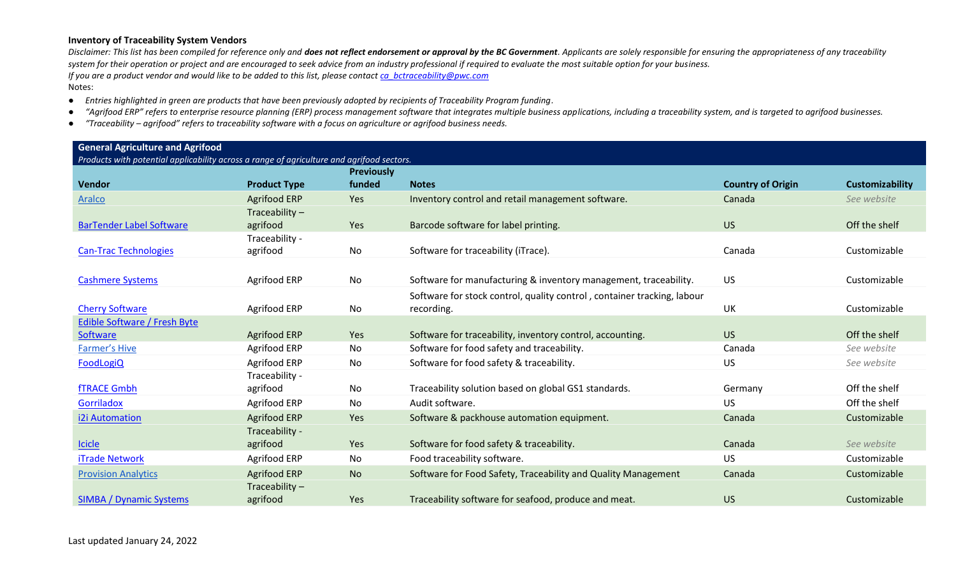- *Entries highlighted in green are products that have been previously adopted by recipients of Traceability Program funding.*
- "Agrifood ERP" refers to enterprise resource planning (ERP) process management software that integrates multiple business applications, including a traceability system, and is targeted to agrifood businesses.
- *"Traceability – agrifood" refers to traceability software with a focus on agriculture or agrifood business needs.*

| <b>General Agriculture and Agrifood</b> |  |  |  |  |
|-----------------------------------------|--|--|--|--|
|-----------------------------------------|--|--|--|--|

| Products with potential applicability across a range of agriculture and agrifood sectors. |                     |                   |                                                                         |                          |                        |
|-------------------------------------------------------------------------------------------|---------------------|-------------------|-------------------------------------------------------------------------|--------------------------|------------------------|
|                                                                                           |                     | <b>Previously</b> |                                                                         |                          |                        |
| Vendor                                                                                    | <b>Product Type</b> | funded            | <b>Notes</b>                                                            | <b>Country of Origin</b> | <b>Customizability</b> |
| <b>Aralco</b>                                                                             | <b>Agrifood ERP</b> | Yes               | Inventory control and retail management software.                       | Canada                   | See website            |
|                                                                                           | Traceability $-$    |                   |                                                                         |                          |                        |
| <b>BarTender Label Software</b>                                                           | agrifood            | Yes               | Barcode software for label printing.                                    | <b>US</b>                | Off the shelf          |
|                                                                                           | Traceability -      |                   |                                                                         |                          |                        |
| <b>Can-Trac Technologies</b>                                                              | agrifood            | No                | Software for traceability (iTrace).                                     | Canada                   | Customizable           |
|                                                                                           |                     |                   |                                                                         |                          |                        |
| <b>Cashmere Systems</b>                                                                   | Agrifood ERP        | No                | Software for manufacturing & inventory management, traceability.        | <b>US</b>                | Customizable           |
|                                                                                           |                     |                   | Software for stock control, quality control, container tracking, labour |                          |                        |
| <b>Cherry Software</b>                                                                    | Agrifood ERP        | No                | recording.                                                              | UK                       | Customizable           |
| <b>Edible Software / Fresh Byte</b>                                                       |                     |                   |                                                                         |                          |                        |
| Software                                                                                  | <b>Agrifood ERP</b> | Yes               | Software for traceability, inventory control, accounting.               | <b>US</b>                | Off the shelf          |
| <b>Farmer's Hive</b>                                                                      | Agrifood ERP        | No                | Software for food safety and traceability.                              | Canada                   | See website            |
| FoodLogiQ                                                                                 | Agrifood ERP        | No                | Software for food safety & traceability.                                | <b>US</b>                | See website            |
|                                                                                           | Traceability -      |                   |                                                                         |                          |                        |
| <b>fTRACE Gmbh</b>                                                                        | agrifood            | No                | Traceability solution based on global GS1 standards.                    | Germany                  | Off the shelf          |
| Gorriladox                                                                                | Agrifood ERP        | No                | Audit software.                                                         | <b>US</b>                | Off the shelf          |
| i2i Automation                                                                            | <b>Agrifood ERP</b> | Yes               | Software & packhouse automation equipment.                              | Canada                   | Customizable           |
|                                                                                           | Traceability -      |                   |                                                                         |                          |                        |
| <b>Icicle</b>                                                                             | agrifood            | Yes               | Software for food safety & traceability.                                | Canada                   | See website            |
| <b>iTrade Network</b>                                                                     | Agrifood ERP        | No                | Food traceability software.                                             | <b>US</b>                | Customizable           |
| <b>Provision Analytics</b>                                                                | Agrifood ERP        | <b>No</b>         | Software for Food Safety, Traceability and Quality Management           | Canada                   | Customizable           |
|                                                                                           | Traceability-       |                   |                                                                         |                          |                        |
| <b>SIMBA / Dynamic Systems</b>                                                            | agrifood            | Yes               | Traceability software for seafood, produce and meat.                    | <b>US</b>                | Customizable           |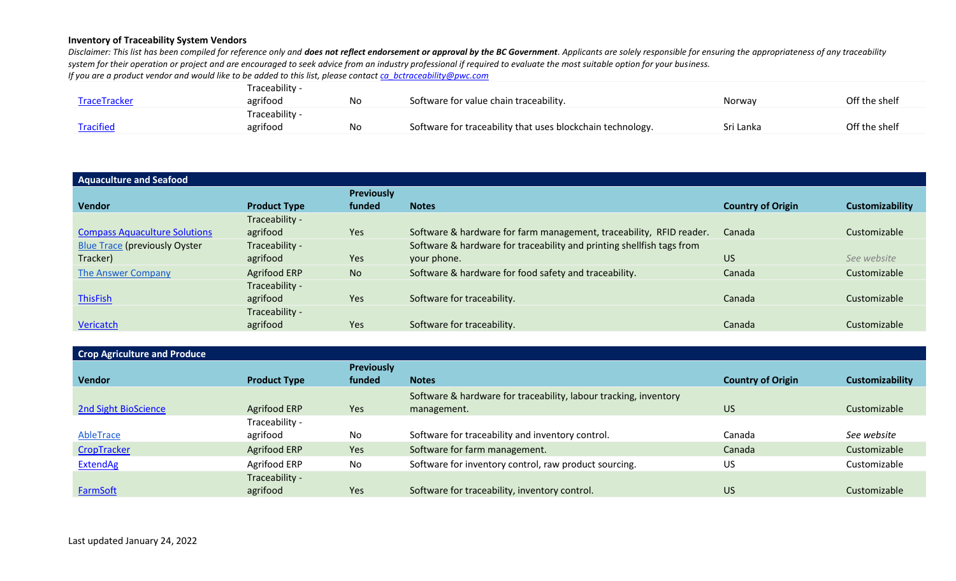| Off the shelf<br>Software for value chain traceability.<br>TraceTracker<br>No<br>agrifood<br>Norway                            |  |
|--------------------------------------------------------------------------------------------------------------------------------|--|
|                                                                                                                                |  |
| Traceability -                                                                                                                 |  |
| <b>Tracified</b><br>Off the shelf<br>Software for traceability that uses blockchain technology.<br>Sri Lanka<br>agrifood<br>No |  |

| <b>Aquaculture and Seafood</b>       |                     |                   |                                                                       |                          |                 |
|--------------------------------------|---------------------|-------------------|-----------------------------------------------------------------------|--------------------------|-----------------|
|                                      |                     | <b>Previously</b> |                                                                       |                          |                 |
| <b>Vendor</b>                        | <b>Product Type</b> | funded            | <b>Notes</b>                                                          | <b>Country of Origin</b> | Customizability |
|                                      | Traceability -      |                   |                                                                       |                          |                 |
| <b>Compass Aquaculture Solutions</b> | agrifood            | Yes               | Software & hardware for farm management, traceability, RFID reader.   | Canada                   | Customizable    |
| <b>Blue Trace (previously Oyster</b> | Traceability -      |                   | Software & hardware for traceability and printing shellfish tags from |                          |                 |
| Tracker)                             | agrifood            | Yes               | your phone.                                                           | <b>US</b>                | See website     |
| The Answer Company                   | Agrifood ERP        | <b>No</b>         | Software & hardware for food safety and traceability.                 | Canada                   | Customizable    |
|                                      | Traceability -      |                   |                                                                       |                          |                 |
| <b>ThisFish</b>                      | agrifood            | Yes               | Software for traceability.                                            | Canada                   | Customizable    |
|                                      | Traceability -      |                   |                                                                       |                          |                 |
| Vericatch                            | agrifood            | Yes               | Software for traceability.                                            | Canada                   | Customizable    |

| <b>Crop Agriculture and Produce</b> |                     |                   |                                                                  |                          |                        |
|-------------------------------------|---------------------|-------------------|------------------------------------------------------------------|--------------------------|------------------------|
|                                     |                     | <b>Previously</b> |                                                                  |                          |                        |
| <b>Vendor</b>                       | <b>Product Type</b> | funded            | <b>Notes</b>                                                     | <b>Country of Origin</b> | <b>Customizability</b> |
|                                     |                     |                   | Software & hardware for traceability, labour tracking, inventory |                          |                        |
| <b>2nd Sight BioScience</b>         | Agrifood ERP        | Yes               | management.                                                      | <b>US</b>                | Customizable           |
|                                     | Traceability -      |                   |                                                                  |                          |                        |
| AbleTrace                           | agrifood            | No                | Software for traceability and inventory control.                 | Canada                   | See website            |
| CropTracker                         | Agrifood ERP        | Yes               | Software for farm management.                                    | Canada                   | Customizable           |
| <b>ExtendAg</b>                     | Agrifood ERP        | No                | Software for inventory control, raw product sourcing.            | <b>US</b>                | Customizable           |
|                                     | Traceability -      |                   |                                                                  |                          |                        |
| <b>FarmSoft</b>                     | agrifood            | Yes               | Software for traceability, inventory control.                    | <b>US</b>                | Customizable           |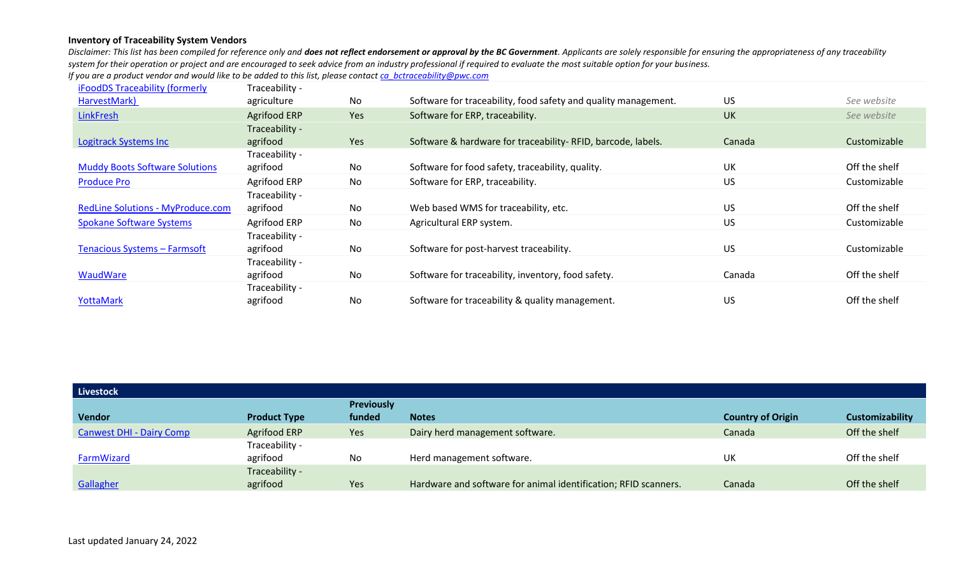| iFoodDS Traceability (formerly           | Traceability -      |     |                                                                |           |               |
|------------------------------------------|---------------------|-----|----------------------------------------------------------------|-----------|---------------|
| HarvestMark)                             | agriculture         | No  | Software for traceability, food safety and quality management. | <b>US</b> | See website   |
| LinkFresh                                | <b>Agrifood ERP</b> | Yes | Software for ERP, traceability.                                | <b>UK</b> | See website   |
|                                          | Traceability -      |     |                                                                |           |               |
| <b>Logitrack Systems Inc</b>             | agrifood            | Yes | Software & hardware for traceability-RFID, barcode, labels.    | Canada    | Customizable  |
|                                          | Traceability -      |     |                                                                |           |               |
| <b>Muddy Boots Software Solutions</b>    | agrifood            | No  | Software for food safety, traceability, quality.               | <b>UK</b> | Off the shelf |
| <b>Produce Pro</b>                       | Agrifood ERP        | No  | Software for ERP, traceability.                                | <b>US</b> | Customizable  |
|                                          | Traceability -      |     |                                                                |           |               |
| <b>RedLine Solutions - MyProduce.com</b> | agrifood            | No  | Web based WMS for traceability, etc.                           | US.       | Off the shelf |
| <b>Spokane Software Systems</b>          | Agrifood ERP        | No  | Agricultural ERP system.                                       | <b>US</b> | Customizable  |
|                                          | Traceability -      |     |                                                                |           |               |
| Tenacious Systems - Farmsoft             | agrifood            | No  | Software for post-harvest traceability.                        | <b>US</b> | Customizable  |
|                                          | Traceability -      |     |                                                                |           |               |
| WaudWare                                 | agrifood            | No  | Software for traceability, inventory, food safety.             | Canada    | Off the shelf |
|                                          | Traceability -      |     |                                                                |           |               |
| YottaMark                                | agrifood            | No  | Software for traceability & quality management.                | <b>US</b> | Off the shelf |

| <b>Livestock</b>                |                     |                   |                                                                 |                          |                 |
|---------------------------------|---------------------|-------------------|-----------------------------------------------------------------|--------------------------|-----------------|
|                                 |                     | <b>Previously</b> |                                                                 |                          |                 |
| <b>Vendor</b>                   | <b>Product Type</b> | funded            | <b>Notes</b>                                                    | <b>Country of Origin</b> | Customizability |
| <b>Canwest DHI - Dairy Comp</b> | Agrifood ERP        | Yes               | Dairy herd management software.                                 | Canada                   | Off the shelf   |
|                                 | Traceability -      |                   |                                                                 |                          |                 |
| FarmWizard                      | agrifood            | No                | Herd management software.                                       | UK                       | Off the shelf   |
|                                 | Traceability -      |                   |                                                                 |                          |                 |
| Gallagher                       | agrifood            | Yes               | Hardware and software for animal identification; RFID scanners. | Canada                   | Off the shelf   |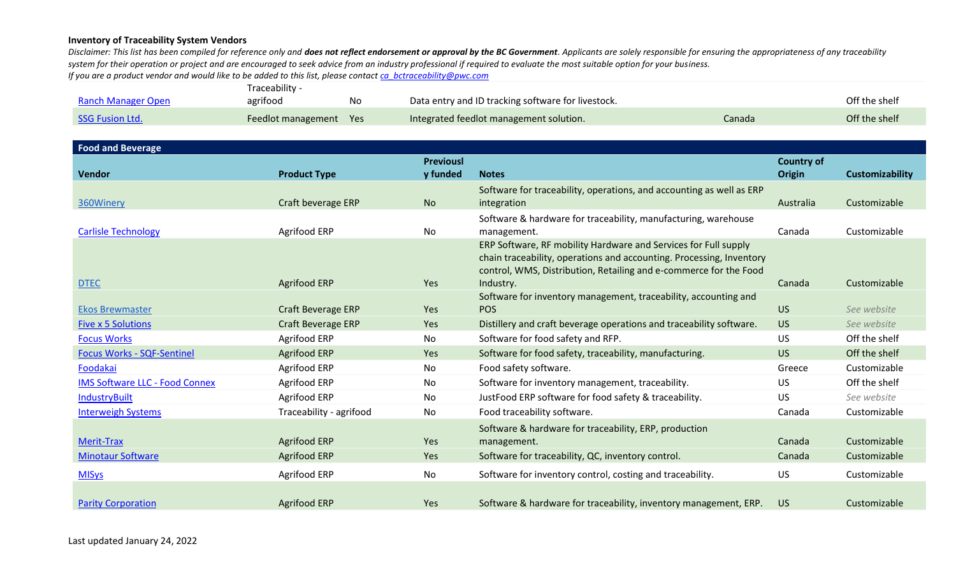|                    | Traceability -         |    |                                                    |        |               |  |  |  |
|--------------------|------------------------|----|----------------------------------------------------|--------|---------------|--|--|--|
| Ranch Manager Open | agrifood               | No | Data entry and ID tracking software for livestock. |        | Off the shelf |  |  |  |
| SSG Fusion Ltd.    | Feedlot management Yes |    | Integrated feedlot management solution.            | Canada | Off the shelf |  |  |  |

| <b>Food and Beverage</b>              |                           |                  |                                                                              |                   |                        |
|---------------------------------------|---------------------------|------------------|------------------------------------------------------------------------------|-------------------|------------------------|
|                                       |                           | <b>Previousl</b> |                                                                              | <b>Country of</b> |                        |
| <b>Vendor</b>                         | <b>Product Type</b>       | y funded         | <b>Notes</b>                                                                 | <b>Origin</b>     | <b>Customizability</b> |
|                                       |                           |                  | Software for traceability, operations, and accounting as well as ERP         |                   |                        |
| 360Winery                             | Craft beverage ERP        | <b>No</b>        | integration                                                                  | Australia         | Customizable           |
|                                       |                           |                  | Software & hardware for traceability, manufacturing, warehouse               |                   |                        |
| <b>Carlisle Technology</b>            | Agrifood ERP              | No               | management.                                                                  | Canada            | Customizable           |
|                                       |                           |                  | ERP Software, RF mobility Hardware and Services for Full supply              |                   |                        |
|                                       |                           |                  | chain traceability, operations and accounting. Processing, Inventory         |                   |                        |
|                                       |                           |                  | control, WMS, Distribution, Retailing and e-commerce for the Food            |                   |                        |
| <b>DTEC</b>                           | <b>Agrifood ERP</b>       | <b>Yes</b>       | Industry.<br>Software for inventory management, traceability, accounting and | Canada            | Customizable           |
| <b>Ekos Brewmaster</b>                | <b>Craft Beverage ERP</b> | Yes              | <b>POS</b>                                                                   | <b>US</b>         | See website            |
| <b>Five x 5 Solutions</b>             | <b>Craft Beverage ERP</b> | Yes              | Distillery and craft beverage operations and traceability software.          | <b>US</b>         | See website            |
| <b>Focus Works</b>                    | Agrifood ERP              | No               | Software for food safety and RFP.                                            | <b>US</b>         | Off the shelf          |
| <b>Focus Works - SQF-Sentinel</b>     | <b>Agrifood ERP</b>       | Yes              | Software for food safety, traceability, manufacturing.                       | <b>US</b>         | Off the shelf          |
| Foodakai                              | Agrifood ERP              | No               | Food safety software.                                                        | Greece            | Customizable           |
| <b>IMS Software LLC - Food Connex</b> | Agrifood ERP              | No               | Software for inventory management, traceability.                             | <b>US</b>         | Off the shelf          |
| <b>IndustryBuilt</b>                  | Agrifood ERP              | No               | JustFood ERP software for food safety & traceability.                        | US                | See website            |
| <b>Interweigh Systems</b>             | Traceability - agrifood   | <b>No</b>        | Food traceability software.                                                  | Canada            | Customizable           |
|                                       |                           |                  | Software & hardware for traceability, ERP, production                        |                   |                        |
| Merit-Trax                            | <b>Agrifood ERP</b>       | Yes              | management.                                                                  | Canada            | Customizable           |
| <b>Minotaur Software</b>              | <b>Agrifood ERP</b>       | Yes              | Software for traceability, QC, inventory control.                            | Canada            | Customizable           |
| <b>MISys</b>                          | Agrifood ERP              | No               | Software for inventory control, costing and traceability.                    | US                | Customizable           |
|                                       |                           |                  |                                                                              |                   |                        |
| <b>Parity Corporation</b>             | <b>Agrifood ERP</b>       | Yes              | Software & hardware for traceability, inventory management, ERP.             | US.               | Customizable           |
|                                       |                           |                  |                                                                              |                   |                        |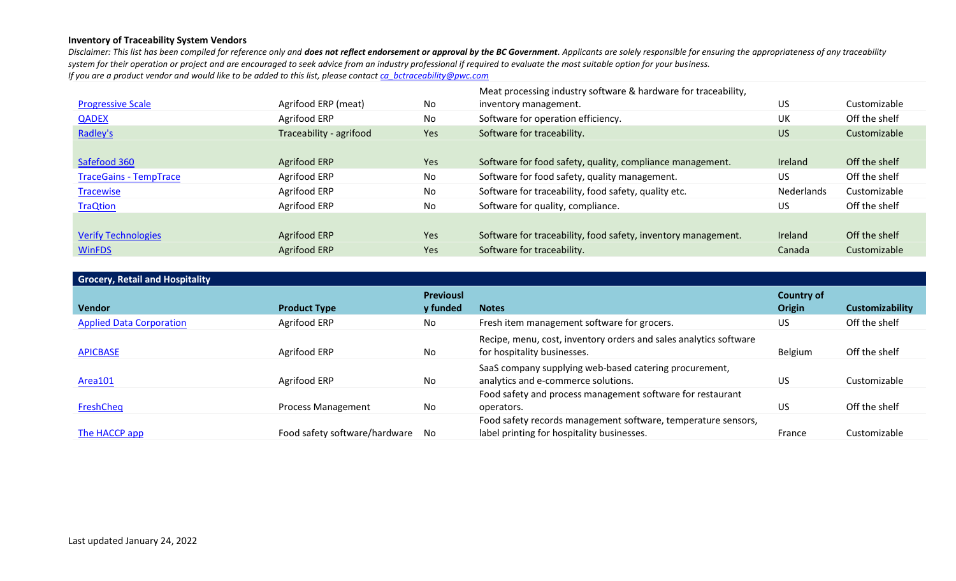|                               |                         |           | Meat processing industry software & hardware for traceability, |            |               |
|-------------------------------|-------------------------|-----------|----------------------------------------------------------------|------------|---------------|
| <b>Progressive Scale</b>      | Agrifood ERP (meat)     | No        | inventory management.                                          | US         | Customizable  |
| <b>QADEX</b>                  | Agrifood ERP            | No        | Software for operation efficiency.                             | UK         | Off the shelf |
| Radley's                      | Traceability - agrifood | Yes       | Software for traceability.                                     | <b>US</b>  | Customizable  |
|                               |                         |           |                                                                |            |               |
| Safefood 360                  | Agrifood ERP            | Yes       | Software for food safety, quality, compliance management.      | Ireland    | Off the shelf |
| <b>TraceGains - TempTrace</b> | Agrifood ERP            | <b>No</b> | Software for food safety, quality management.                  | <b>US</b>  | Off the shelf |
| <b>Tracewise</b>              | Agrifood ERP            | No        | Software for traceability, food safety, quality etc.           | Nederlands | Customizable  |
| <b>TraQtion</b>               | Agrifood ERP            | No        | Software for quality, compliance.                              | US         | Off the shelf |
|                               |                         |           |                                                                |            |               |
| <b>Verify Technologies</b>    | Agrifood ERP            | Yes       | Software for traceability, food safety, inventory management.  | Ireland    | Off the shelf |
| <b>WinFDS</b>                 | Agrifood ERP            | Yes       | Software for traceability.                                     | Canada     | Customizable  |

| <b>Grocery, Retail and Hospitality</b> |                               |                  |                                                                   |                   |                        |
|----------------------------------------|-------------------------------|------------------|-------------------------------------------------------------------|-------------------|------------------------|
|                                        |                               | <b>Previousl</b> |                                                                   | <b>Country of</b> |                        |
| <b>Vendor</b>                          | <b>Product Type</b>           | y funded         | <b>Notes</b>                                                      | <b>Origin</b>     | <b>Customizability</b> |
| <b>Applied Data Corporation</b>        | Agrifood ERP                  | No.              | Fresh item management software for grocers.                       | US                | Off the shelf          |
|                                        |                               |                  | Recipe, menu, cost, inventory orders and sales analytics software |                   |                        |
| <b>APICBASE</b>                        | Agrifood ERP                  | No               | for hospitality businesses.                                       | Belgium           | Off the shelf          |
|                                        |                               |                  | SaaS company supplying web-based catering procurement,            |                   |                        |
| Area101                                | Agrifood ERP                  | No               | analytics and e-commerce solutions.                               | <b>US</b>         | Customizable           |
|                                        |                               |                  | Food safety and process management software for restaurant        |                   |                        |
| <b>FreshCheq</b>                       | Process Management            | No               | operators.                                                        | <b>US</b>         | Off the shelf          |
|                                        |                               |                  | Food safety records management software, temperature sensors,     |                   |                        |
| The HACCP app                          | Food safety software/hardware | No.              | label printing for hospitality businesses.                        | France            | Customizable           |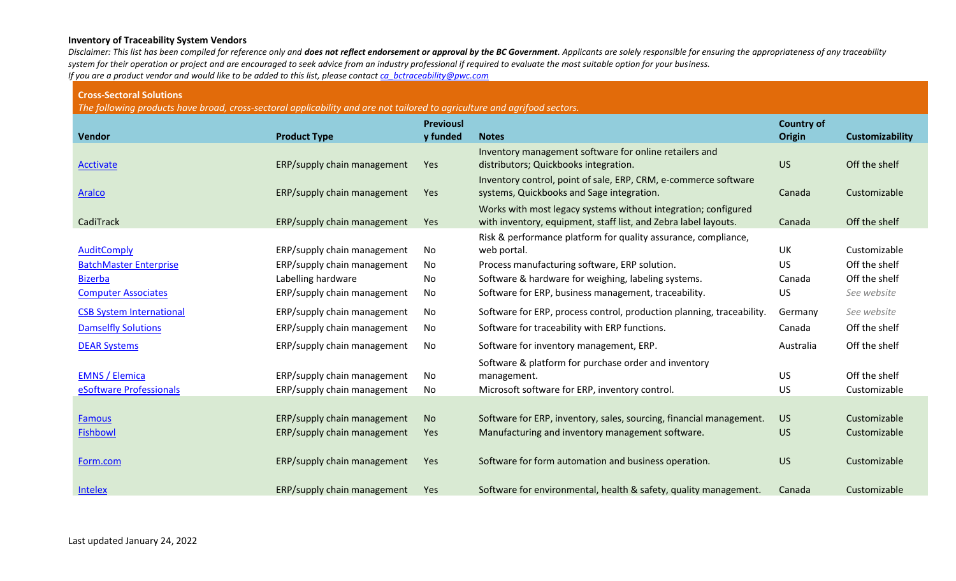Disclaimer: This list has been compiled for reference only and does not reflect endorsement or approval by the BC Government. Applicants are solely responsible for ensuring the appropriateness of any traceability *system for their operation or project and are encouraged to seek advice from an industry professional if required to evaluate the most suitable option for your business. If you are a product vendor and would like to be added to this list, please contac[t ca\\_bctraceability@pwc.com](mailto:ca_bctraceability@ca.pwc.com)*

#### **Cross-Sectoral Solutions**

*The following products have broad, cross-sectoral applicability and are not tailored to agriculture and agrifood sectors.* 

| <b>Vendor</b>                   | <b>Product Type</b>         | <b>Previousl</b><br>y funded | <b>Notes</b>                                                          | <b>Country of</b><br><b>Origin</b> | Customizability |
|---------------------------------|-----------------------------|------------------------------|-----------------------------------------------------------------------|------------------------------------|-----------------|
|                                 |                             |                              | Inventory management software for online retailers and                |                                    |                 |
| Acctivate                       | ERP/supply chain management | Yes                          | distributors; Quickbooks integration.                                 | <b>US</b>                          | Off the shelf   |
|                                 |                             |                              | Inventory control, point of sale, ERP, CRM, e-commerce software       |                                    |                 |
| <b>Aralco</b>                   | ERP/supply chain management | Yes                          | systems, Quickbooks and Sage integration.                             | Canada                             | Customizable    |
|                                 |                             |                              | Works with most legacy systems without integration; configured        |                                    |                 |
| CadiTrack                       | ERP/supply chain management | Yes                          | with inventory, equipment, staff list, and Zebra label layouts.       | Canada                             | Off the shelf   |
|                                 |                             |                              | Risk & performance platform for quality assurance, compliance,        |                                    |                 |
| <b>AuditComply</b>              | ERP/supply chain management | No                           | web portal.                                                           | <b>UK</b>                          | Customizable    |
| <b>BatchMaster Enterprise</b>   | ERP/supply chain management | No                           | Process manufacturing software, ERP solution.                         | <b>US</b>                          | Off the shelf   |
| <b>Bizerba</b>                  | Labelling hardware          | No                           | Software & hardware for weighing, labeling systems.                   | Canada                             | Off the shelf   |
| <b>Computer Associates</b>      | ERP/supply chain management | No                           | Software for ERP, business management, traceability.                  | <b>US</b>                          | See website     |
| <b>CSB System International</b> | ERP/supply chain management | No                           | Software for ERP, process control, production planning, traceability. | Germany                            | See website     |
| <b>Damselfly Solutions</b>      | ERP/supply chain management | No                           | Software for traceability with ERP functions.                         | Canada                             | Off the shelf   |
| <b>DEAR Systems</b>             | ERP/supply chain management | No                           | Software for inventory management, ERP.                               | Australia                          | Off the shelf   |
|                                 |                             |                              | Software & platform for purchase order and inventory                  |                                    |                 |
| <b>EMNS / Elemica</b>           | ERP/supply chain management | No                           | management.                                                           | <b>US</b>                          | Off the shelf   |
| eSoftware Professionals         | ERP/supply chain management | <b>No</b>                    | Microsoft software for ERP, inventory control.                        | <b>US</b>                          | Customizable    |
|                                 |                             |                              |                                                                       |                                    |                 |
| <b>Famous</b>                   | ERP/supply chain management | <b>No</b>                    | Software for ERP, inventory, sales, sourcing, financial management.   | <b>US</b>                          | Customizable    |
| <b>Fishbowl</b>                 | ERP/supply chain management | Yes                          | Manufacturing and inventory management software.                      | US.                                | Customizable    |
|                                 |                             |                              |                                                                       |                                    |                 |
| Form.com                        | ERP/supply chain management | <b>Yes</b>                   | Software for form automation and business operation.                  | US                                 | Customizable    |
| Intelex                         | ERP/supply chain management | Yes                          | Software for environmental, health & safety, quality management.      | Canada                             | Customizable    |
|                                 |                             |                              |                                                                       |                                    |                 |